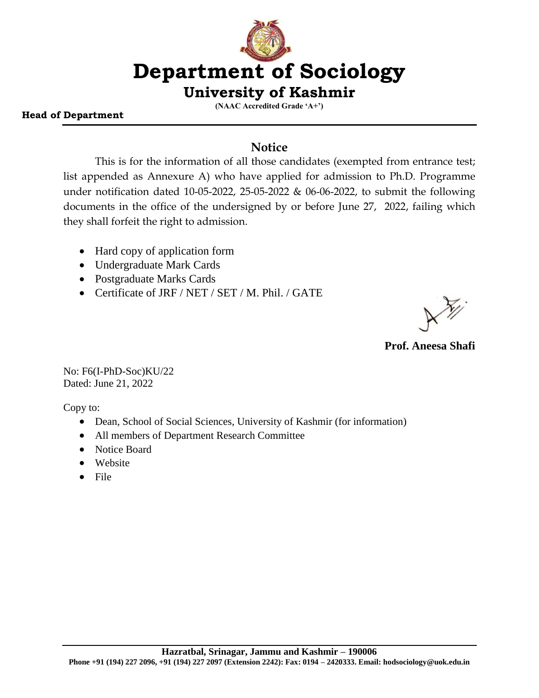# **Department of Sociology**

### **University of Kashmir**

**(NAAC Accredited Grade 'A+')**

#### **Head of Department**

#### **Notice**

This is for the information of all those candidates (exempted from entrance test; list appended as Annexure A) who have applied for admission to Ph.D. Programme under notification dated 10-05-2022, 25-05-2022 & 06-06-2022, to submit the following documents in the office of the undersigned by or before June 27, 2022, failing which they shall forfeit the right to admission.

- Hard copy of application form
- Undergraduate Mark Cards
- Postgraduate Marks Cards
- Certificate of JRF / NET / SET / M. Phil. / GATE

**Prof. Aneesa Shafi**

No: F6(I-PhD-Soc)KU/22 Dated: June 21, 2022

Copy to:

- Dean, School of Social Sciences, University of Kashmir (for information)
- All members of Department Research Committee
- Notice Board
- Website
- $\bullet$  File